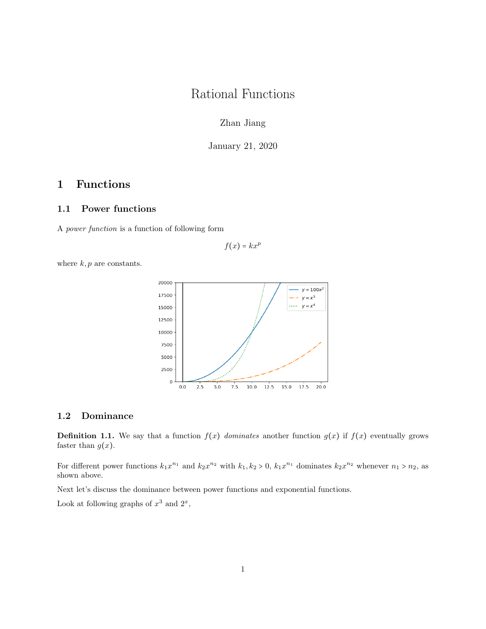# Rational Functions

Zhan Jiang

January 21, 2020

## 1 Functions

#### 1.1 Power functions

A power function is a function of following form

$$
f(x) = kx^p
$$

where  $k, p$  are constants.



#### 1.2 Dominance

**Definition 1.1.** We say that a function  $f(x)$  dominates another function  $g(x)$  if  $f(x)$  eventually grows faster than  $g(x)$ .

For different power functions  $k_1x^{n_1}$  and  $k_2x^{n_2}$  with  $k_1, k_2 > 0$ ,  $k_1x^{n_1}$  dominates  $k_2x^{n_2}$  whenever  $n_1 > n_2$ , as shown above.

Next let's discuss the dominance between power functions and exponential functions.

Look at following graphs of  $x^3$  and  $2^x$ ,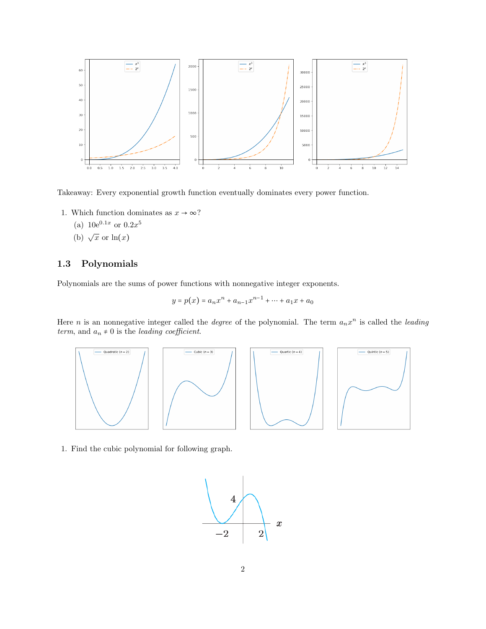

Takeaway: Every exponential growth function eventually dominates every power function.

- 1. Which function dominates as  $x \to \infty$ ?
	- (a)  $10e^{0.1x}$  or  $0.2x^5$
	- (b)  $\sqrt{x}$  or  $\ln(x)$

### 1.3 Polynomials

Polynomials are the sums of power functions with nonnegative integer exponents.

$$
y = p(x) = a_n x^n + a_{n-1} x^{n-1} + \dots + a_1 x + a_0
$$

Here *n* is an nonnegative integer called the *degree* of the polynomial. The term  $a_n x^n$  is called the *leading* term, and  $a_n \neq 0$  is the leading coefficient.



1. Find the cubic polynomial for following graph.

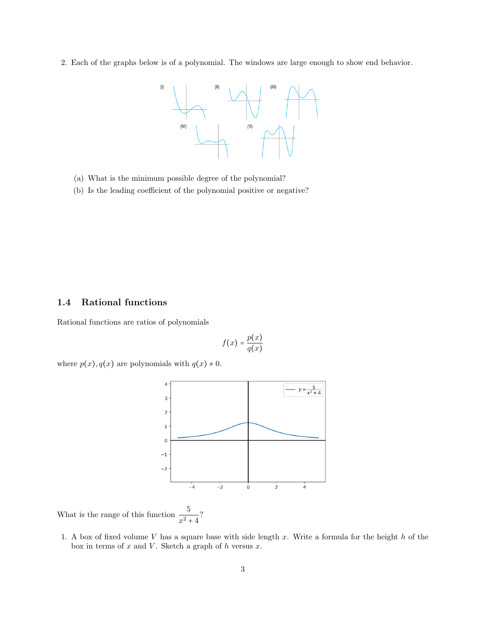2. Each of the graphs below is of a polynomial. The windows are large enough to show end behavior.



- (a) What is the minimum possible degree of the polynomial?
- (b) Is the leading coefficient of the polynomial positive or negative?

### 1.4 Rational functions

Rational functions are ratios of polynomials

$$
f(x) = \frac{p(x)}{q(x)}
$$

where  $p(x)$ ,  $q(x)$  are polynomials with  $q(x) \neq 0$ .



What is the range of this function  $\frac{5}{x^2+4}$ ?

1. A box of fixed volume  $V$  has a square base with side length  $x$ . Write a formula for the height  $h$  of the box in terms of  $x$  and  $V$ . Sketch a graph of  $h$  versus  $x$ .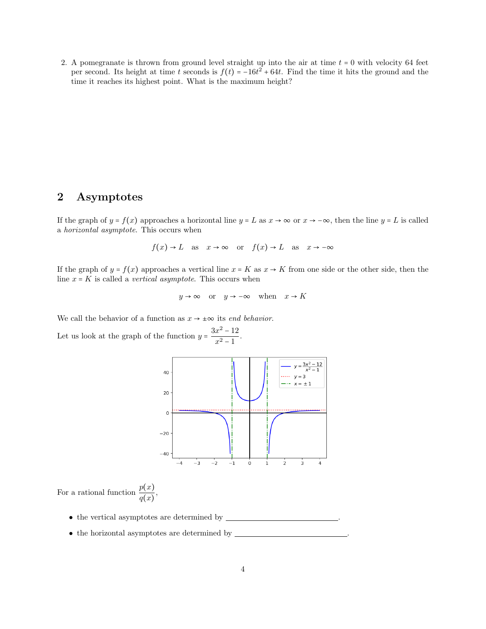2. A pomegranate is thrown from ground level straight up into the air at time  $t = 0$  with velocity 64 feet per second. Its height at time t seconds is  $f(t) = -16t^2 + 64t$ . Find the time it hits the ground and the time it reaches its highest point. What is the maximum height?

## 2 Asymptotes

If the graph of  $y = f(x)$  approaches a horizontal line  $y = L$  as  $x \to \infty$  or  $x \to -\infty$ , then the line  $y = L$  is called a horizontal asymptote. This occurs when

$$
f(x) \to L
$$
 as  $x \to \infty$  or  $f(x) \to L$  as  $x \to -\infty$ 

If the graph of  $y = f(x)$  approaches a vertical line  $x = K$  as  $x \to K$  from one side or the other side, then the line  $x = K$  is called a *vertical asymptote*. This occurs when

$$
y \to \infty
$$
 or  $y \to -\infty$  when  $x \to K$ 

We call the behavior of a function as  $x \to \pm \infty$  its end behavior.

Let us look at the graph of the function  $y = \frac{3x^2 - 12}{x^2 - 1}$  $\frac{x}{x^2-1}$ .



For a rational function  $\frac{p(x)}{q(x)}$ ,

- $\bullet$  the vertical asymptotes are determined by  $\_\_$
- $\bullet\,$  the horizontal asymptotes are determined by  $\_\_$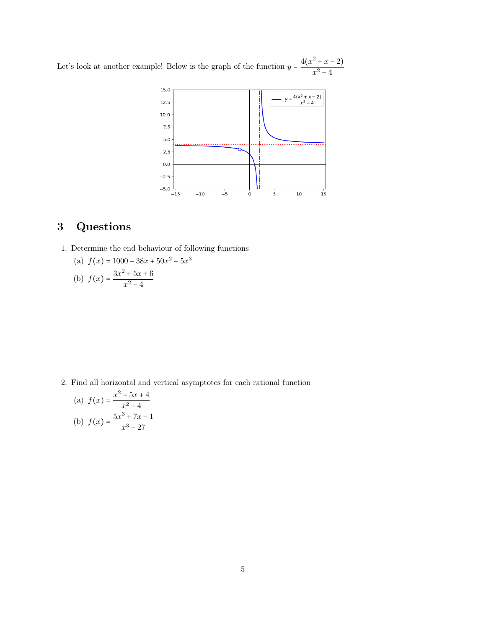Let's look at another example! Below is the graph of the function  $y = \frac{4(x^2 + x - 2)}{x}$  $x^2 - 4$ 



## 3 Questions

1. Determine the end behaviour of following functions

(a) 
$$
f(x) = 1000 - 38x + 50x^2 - 5x^3
$$

(b) 
$$
f(x) = \frac{3x^2 + 5x + 6}{x^2 - 4}
$$

2. Find all horizontal and vertical asymptotes for each rational function

(a) 
$$
f(x) = \frac{x^2 + 5x + 4}{x^2 - 4}
$$
  
(b)  $f(x) = \frac{5x^3 + 7x - 1}{x^3 - 27}$